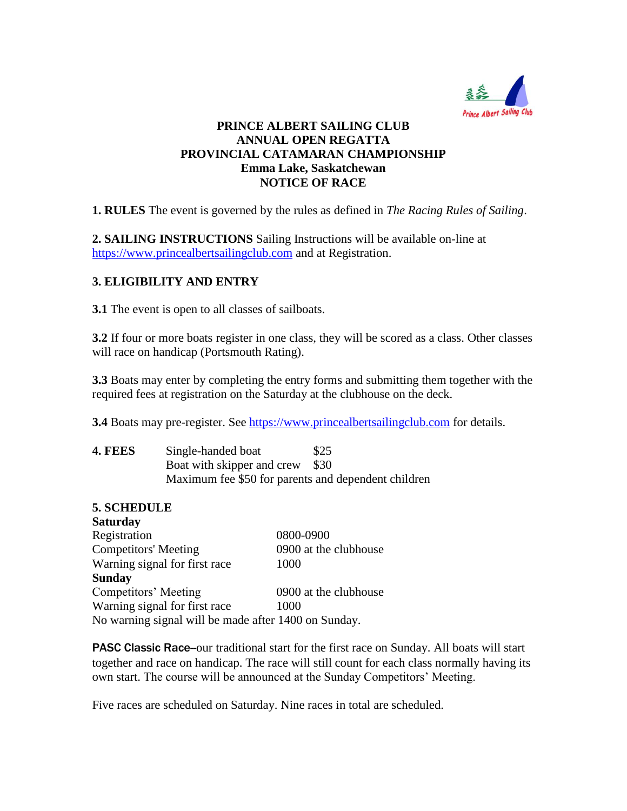

### **PRINCE ALBERT SAILING CLUB ANNUAL OPEN REGATTA PROVINCIAL CATAMARAN CHAMPIONSHIP Emma Lake, Saskatchewan NOTICE OF RACE**

**1. RULES** The event is governed by the rules as defined in *The Racing Rules of Sailing*.

**2. SAILING INSTRUCTIONS** Sailing Instructions will be available on-line at [https://www.princealbertsailingclub.com](https://www.princealbertsailingclub.com/) and at Registration.

## **3. ELIGIBILITY AND ENTRY**

**3.1** The event is open to all classes of sailboats.

**3.2** If four or more boats register in one class, they will be scored as a class. Other classes will race on handicap (Portsmouth Rating).

**3.3** Boats may enter by completing the entry forms and submitting them together with the required fees at registration on the Saturday at the clubhouse on the deck.

**3.4** Boats may pre-register. See [https://www.princealbertsailingclub.com](https://www.princealbertsailingclub.com/) for details.

| 4. FEES | Single-handed boat                                  | \$25 |
|---------|-----------------------------------------------------|------|
|         | Boat with skipper and crew                          | \$30 |
|         | Maximum fee \$50 for parents and dependent children |      |

### **5. SCHEDULE**

| <b>Saturday</b>                                      |                       |
|------------------------------------------------------|-----------------------|
| Registration                                         | 0800-0900             |
| <b>Competitors' Meeting</b>                          | 0900 at the clubhouse |
| Warning signal for first race                        | 1000                  |
| <b>Sunday</b>                                        |                       |
| Competitors' Meeting                                 | 0900 at the clubhouse |
| Warning signal for first race                        | 1000                  |
| No warning signal will be made after 1400 on Sunday. |                       |

**PASC Classic Race--**our traditional start for the first race on Sunday. All boats will start together and race on handicap. The race will still count for each class normally having its own start. The course will be announced at the Sunday Competitors' Meeting.

Five races are scheduled on Saturday. Nine races in total are scheduled.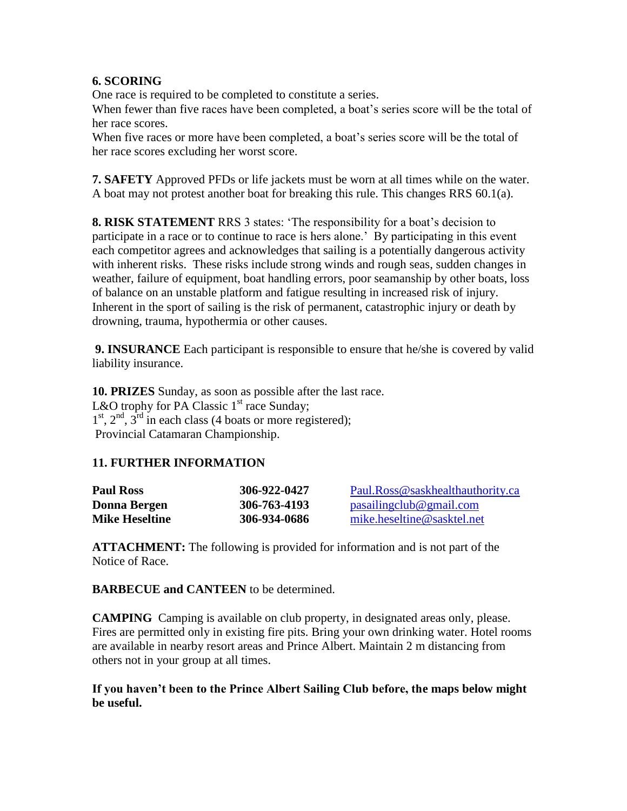### **6. SCORING**

One race is required to be completed to constitute a series.

When fewer than five races have been completed, a boat's series score will be the total of her race scores.

When five races or more have been completed, a boat's series score will be the total of her race scores excluding her worst score.

**7. SAFETY** Approved PFDs or life jackets must be worn at all times while on the water. A boat may not protest another boat for breaking this rule. This changes RRS 60.1(a).

**8. RISK STATEMENT** RRS 3 states: 'The responsibility for a boat's decision to participate in a race or to continue to race is hers alone.' By participating in this event each competitor agrees and acknowledges that sailing is a potentially dangerous activity with inherent risks. These risks include strong winds and rough seas, sudden changes in weather, failure of equipment, boat handling errors, poor seamanship by other boats, loss of balance on an unstable platform and fatigue resulting in increased risk of injury. Inherent in the sport of sailing is the risk of permanent, catastrophic injury or death by drowning, trauma, hypothermia or other causes.

**9. INSURANCE** Each participant is responsible to ensure that he/she is covered by valid liability insurance.

**10. PRIZES** Sunday, as soon as possible after the last race. L&O trophy for PA Classic  $1<sup>st</sup>$  race Sunday;  $1<sup>st</sup>$ ,  $2<sup>nd</sup>$ ,  $3<sup>rd</sup>$  in each class (4 boats or more registered); Provincial Catamaran Championship.

# **11. FURTHER INFORMATION**

| <b>Paul Ross</b>      | 306-922-0427 | Paul.Ross@saskhealthauthority.ca |
|-----------------------|--------------|----------------------------------|
| Donna Bergen          | 306-763-4193 | pasailingclub@gmail.com          |
| <b>Mike Heseltine</b> | 306-934-0686 | mike.heseltine@sasktel.net       |

**ATTACHMENT:** The following is provided for information and is not part of the Notice of Race.

**BARBECUE and CANTEEN** to be determined.

**CAMPING** Camping is available on club property, in designated areas only, please. Fires are permitted only in existing fire pits. Bring your own drinking water. Hotel rooms are available in nearby resort areas and Prince Albert. Maintain 2 m distancing from others not in your group at all times.

#### **If you haven't been to the Prince Albert Sailing Club before, the maps below might be useful.**